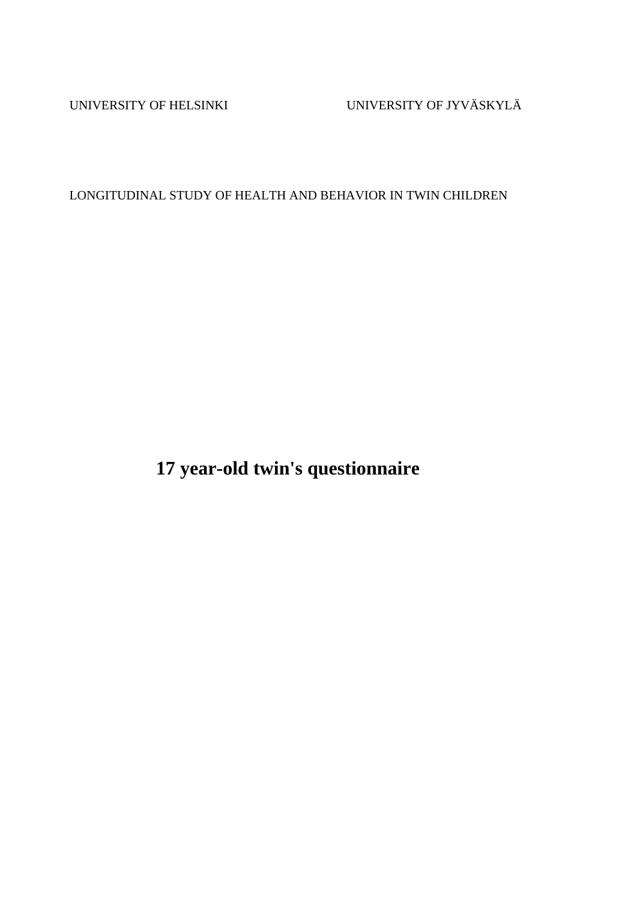UNIVERSITY OF HELSINKI UNIVERSITY OF JYVÄSKYLÄ

LONGITUDINAL STUDY OF HEALTH AND BEHAVIOR IN TWIN CHILDREN

**17 year-old twin's questionnaire**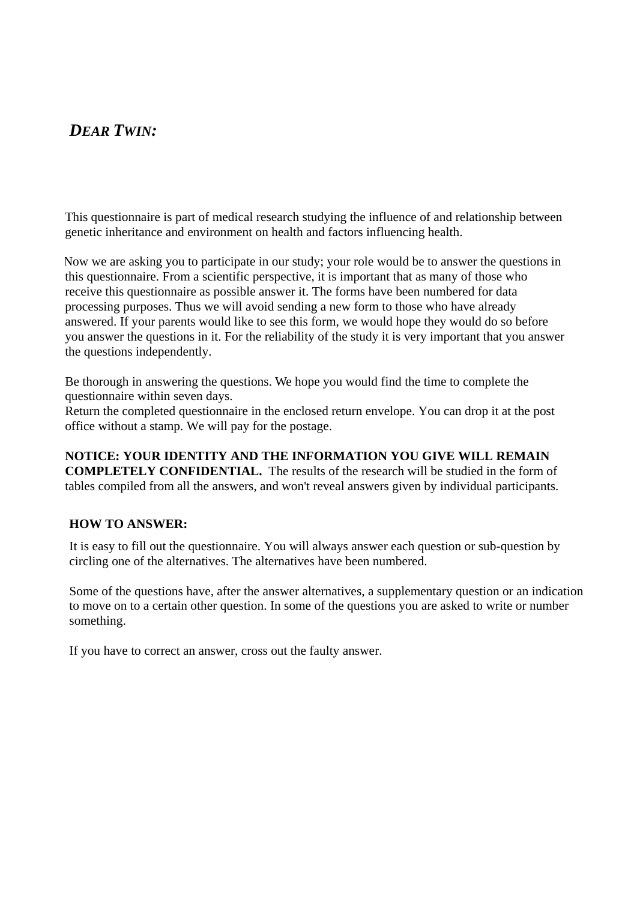### *DEAR TWIN:*

This questionnaire is part of medical research studying the influence of and relationship between genetic inheritance and environment on health and factors influencing health.

Now we are asking you to participate in our study; your role would be to answer the questions in this questionnaire. From a scientific perspective, it is important that as many of those who receive this questionnaire as possible answer it. The forms have been numbered for data processing purposes. Thus we will avoid sending a new form to those who have already answered. If your parents would like to see this form, we would hope they would do so before you answer the questions in it. For the reliability of the study it is very important that you answer the questions independently.

Be thorough in answering the questions. We hope you would find the time to complete the questionnaire within seven days.

Return the completed questionnaire in the enclosed return envelope. You can drop it at the post office without a stamp. We will pay for the postage.

**NOTICE: YOUR IDENTITY AND THE INFORMATION YOU GIVE WILL REMAIN COMPLETELY CONFIDENTIAL.** The results of the research will be studied in the form of tables compiled from all the answers, and won't reveal answers given by individual participants.

#### **HOW TO ANSWER:**

It is easy to fill out the questionnaire. You will always answer each question or sub-question by circling one of the alternatives. The alternatives have been numbered.

Some of the questions have, after the answer alternatives, a supplementary question or an indication to move on to a certain other question. In some of the questions you are asked to write or number something.

If you have to correct an answer, cross out the faulty answer.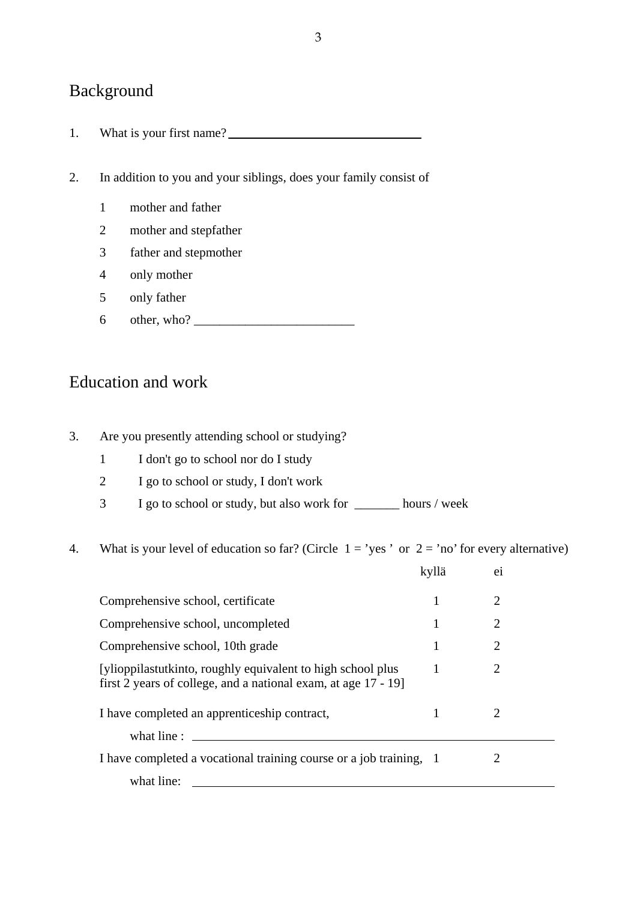# Background

- 1. What is your first name?
- 2. In addition to you and your siblings, does your family consist of
	- 1 mother and father
	- 2 mother and stepfather
	- 3 father and stepmother
	- 4 only mother
	- 5 only father
	- 6 other, who? \_\_\_\_\_\_\_\_\_\_\_\_\_\_\_\_\_\_\_\_\_\_\_\_\_

#### Education and work

- 3. Are you presently attending school or studying?
	- 1 I don't go to school nor do I study
	- 2 I go to school or study, I don't work
	- 3 I go to school or study, but also work for \_\_\_\_\_\_\_ hours / week
- 4. What is your level of education so far? (Circle  $1 = \text{'yes'}$  or  $2 = \text{'no'}$  for every alternative)

|                                                                                                                               | kyllä | $_{e1}$               |  |
|-------------------------------------------------------------------------------------------------------------------------------|-------|-----------------------|--|
| Comprehensive school, certificate                                                                                             |       | 2                     |  |
| Comprehensive school, uncompleted                                                                                             |       | 2                     |  |
| Comprehensive school, 10th grade                                                                                              |       | 2                     |  |
| [ylioppilastutkinto, roughly equivalent to high school plus<br>first 2 years of college, and a national exam, at age 17 - 19] |       | 2                     |  |
| I have completed an apprentice ship contract,<br>what line :                                                                  |       | $\mathcal{D}_{\cdot}$ |  |
| I have completed a vocational training course or a job training, 1<br>what line:                                              |       |                       |  |
|                                                                                                                               |       |                       |  |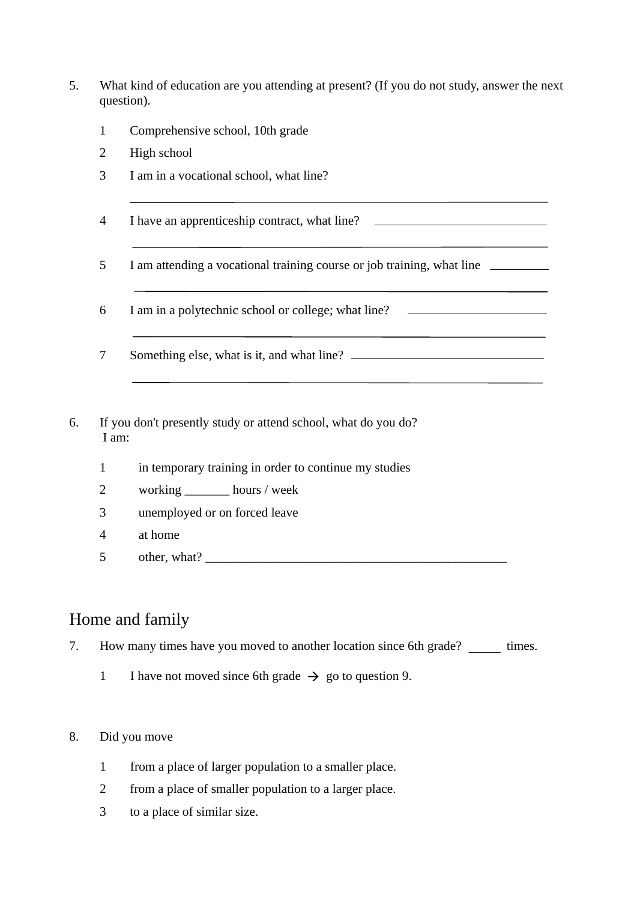- 5. What kind of education are you attending at present? (If you do not study, answer the next question).
	- 1 Comprehensive school, 10th grade
	- 2 High school
	- 3 I am in a vocational school, what line?
	- 4 I have an apprenticeship contract, what line?
	- 5 I am attending a vocational training course or job training, what line
	- 6 I am in a polytechnic school or college; what line?
	- 7 Something else, what is it, and what line?
- 6. If you don't presently study or attend school, what do you do? I am:
	- 1 in temporary training in order to continue my studies
	- 2 working \_\_\_\_\_\_\_ hours / week
	- 3 unemployed or on forced leave
	- 4 at home
	- $5$  other, what?  $\qquad \qquad$

### Home and family

7. How many times have you moved to another location since 6th grade? times.

1 I have not moved since 6th grade  $\rightarrow$  go to question 9.

#### 8. Did you move

- 1 from a place of larger population to a smaller place.
- 2 from a place of smaller population to a larger place.
- 3 to a place of similar size.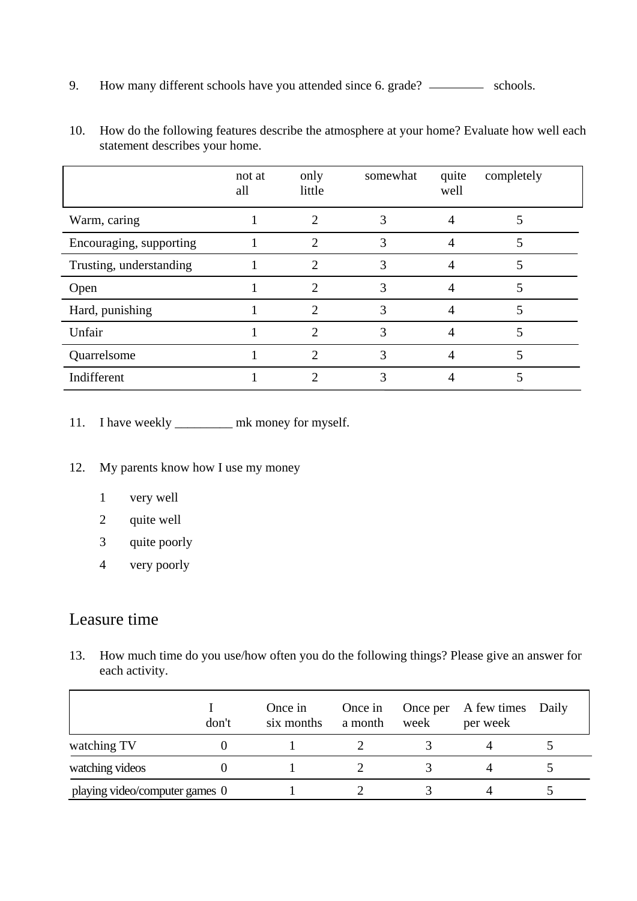9. How many different schools have you attended since 6. grade? \_\_\_\_\_\_\_\_\_\_ schools.

|                         | not at<br>all | only<br>little              | somewhat | quite<br>well | completely |
|-------------------------|---------------|-----------------------------|----------|---------------|------------|
| Warm, caring            |               |                             |          |               |            |
| Encouraging, supporting |               | $\mathcal{D}_{\mathcal{A}}$ | 3        |               | 5          |
| Trusting, understanding |               | 2                           |          |               |            |
| Open                    |               | 2                           | 3        |               |            |
| Hard, punishing         |               | 2                           | 3        |               | 5          |
| Unfair                  |               |                             | 3        |               |            |
| Quarrelsome             |               | 2                           | 3        |               | 5          |
| Indifferent             |               |                             |          |               |            |

10. How do the following features describe the atmosphere at your home? Evaluate how well each statement describes your home.

- 11. I have weekly \_\_\_\_\_\_\_\_\_\_ mk money for myself.
- 12. My parents know how I use my money
	- 1 very well
	- 2 quite well
	- 3 quite poorly
	- 4 very poorly

### Leasure time

 $\overline{a}$ 

13. How much time do you use/how often you do the following things? Please give an answer for each activity.

|                                | don't | Once in<br>six months | Once in<br>a month | week | Once per A few times Daily<br>per week |  |
|--------------------------------|-------|-----------------------|--------------------|------|----------------------------------------|--|
| watching TV                    |       |                       |                    |      |                                        |  |
| watching videos                |       |                       |                    |      |                                        |  |
| playing video/computer games 0 |       |                       |                    |      |                                        |  |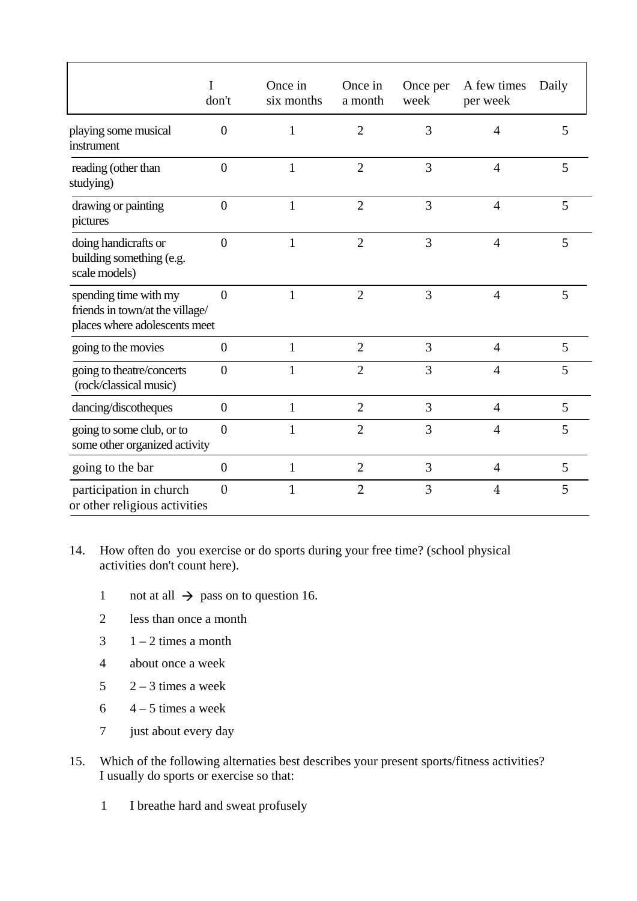|                                                                                           | don't            | Once in<br>six months | Once in<br>a month | Once per<br>week | A few times<br>per week | Daily |
|-------------------------------------------------------------------------------------------|------------------|-----------------------|--------------------|------------------|-------------------------|-------|
| playing some musical<br>instrument                                                        | $\overline{0}$   | 1                     | $\overline{2}$     | 3                | $\overline{4}$          | 5     |
| reading (other than<br>studying)                                                          | $\overline{0}$   | $\mathbf{1}$          | $\overline{2}$     | 3                | $\overline{4}$          | 5     |
| drawing or painting<br>pictures                                                           | $\boldsymbol{0}$ | 1                     | $\overline{2}$     | 3                | $\overline{4}$          | 5     |
| doing handicrafts or<br>building something (e.g.<br>scale models)                         | $\overline{0}$   | $\mathbf{1}$          | $\overline{2}$     | 3                | $\overline{4}$          | 5     |
| spending time with my<br>friends in town/at the village/<br>places where adolescents meet | $\overline{0}$   | 1                     | $\overline{2}$     | 3                | $\overline{4}$          | 5     |
| going to the movies                                                                       | $\overline{0}$   | $\mathbf{1}$          | $\overline{2}$     | 3                | $\overline{4}$          | 5     |
| going to theatre/concerts<br>(rock/classical music)                                       | $\overline{0}$   |                       | $\overline{2}$     | 3                | $\overline{4}$          | 5     |
| dancing/discotheques                                                                      | $\boldsymbol{0}$ | $\mathbf{1}$          | $\overline{2}$     | 3                | $\overline{4}$          | 5     |
| going to some club, or to<br>some other organized activity                                | $\overline{0}$   | 1                     | $\overline{2}$     | 3                | $\overline{4}$          | 5     |
| going to the bar                                                                          | $\boldsymbol{0}$ | 1                     | $\overline{2}$     | 3                | $\overline{4}$          | 5     |
| participation in church<br>or other religious activities                                  | $\overline{0}$   | 1                     | $\overline{2}$     | 3                | $\overline{\mathbf{4}}$ | 5     |

#### 14. How often do you exercise or do sports during your free time? (school physical activities don't count here).

- 1 not at all  $\rightarrow$  pass on to question 16.
- 2 less than once a month
- $3 \t1 2$  times a month
- 4 about once a week
- $5 \qquad 2-3 \text{ times a week}$
- $6 \t-4-5$  times a week
- 7 just about every day
- 15. Which of the following alternaties best describes your present sports/fitness activities? I usually do sports or exercise so that:
	- 1 I breathe hard and sweat profusely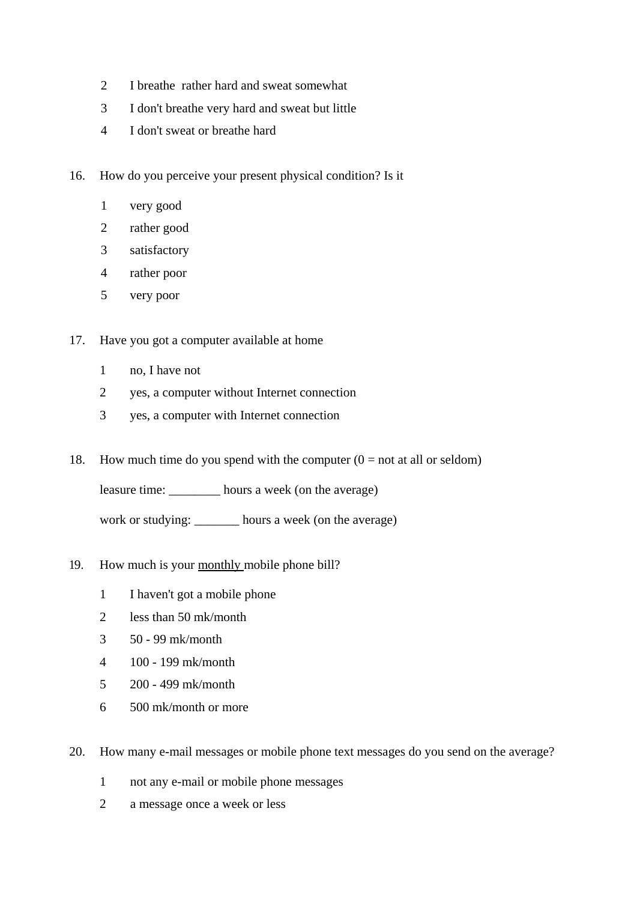- I breathe rather hard and sweat somewhat
- I don't breathe very hard and sweat but little
- I don't sweat or breathe hard
- 16. How do you perceive your present physical condition? Is it
	- very good
	- rather good
	- satisfactory
	- rather poor
	- very poor
- 17. Have you got a computer available at home
	- no, I have not
	- yes, a computer without Internet connection
	- yes, a computer with Internet connection
- 18. How much time do you spend with the computer  $(0 = not at all or seldom)$

leasure time: \_\_\_\_\_\_\_\_ hours a week (on the average)

work or studying: \_\_\_\_\_\_\_ hours a week (on the average)

- 19. How much is your monthly mobile phone bill?
	- I haven't got a mobile phone
	- less than 50 mk/month
	- 50 99 mk/month
	- 100 199 mk/month
	- 200 499 mk/month
	- 500 mk/month or more
- 20. How many e-mail messages or mobile phone text messages do you send on the average?
	- not any e-mail or mobile phone messages
	- a message once a week or less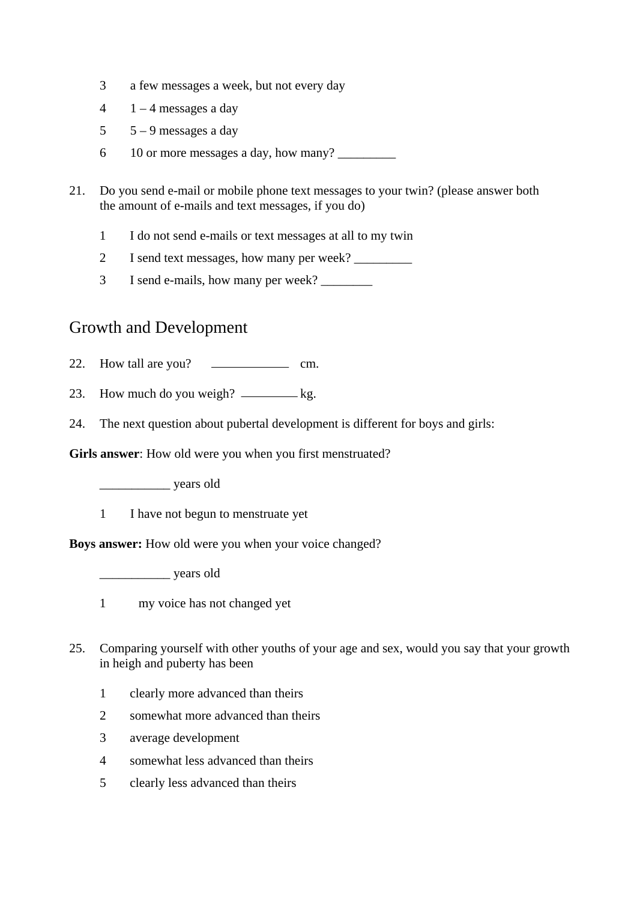- 3 a few messages a week, but not every day
- $4 \quad 1 4$  messages a day
- $5 9$  messages a day
- 6 10 or more messages a day, how many?
- 21. Do you send e-mail or mobile phone text messages to your twin? (please answer both the amount of e-mails and text messages, if you do)
	- 1 I do not send e-mails or text messages at all to my twin
	- 2 I send text messages, how many per week? \_\_\_\_\_\_\_\_\_
	- 3 I send e-mails, how many per week? \_\_\_\_\_\_\_\_

### Growth and Development

- 22. How tall are you? cm.
- 23. How much do you weigh?  $\frac{1}{2}$  kg.
- 24. The next question about pubertal development is different for boys and girls:

**Girls answer**: How old were you when you first menstruated?

\_\_\_\_\_\_\_\_\_\_\_ years old

1 I have not begun to menstruate yet

**Boys answer:** How old were you when your voice changed?

\_\_\_\_\_\_\_\_\_\_\_ years old

- 1 my voice has not changed yet
- 25. Comparing yourself with other youths of your age and sex, would you say that your growth in heigh and puberty has been
	- 1 clearly more advanced than theirs
	- 2 somewhat more advanced than theirs
	- 3 average development
	- 4 somewhat less advanced than theirs
	- 5 clearly less advanced than theirs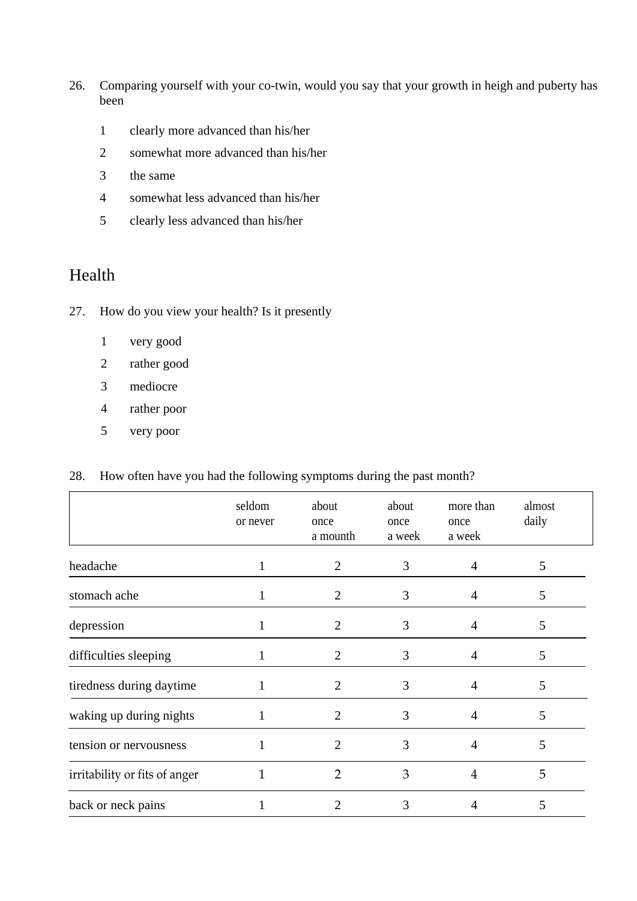- 26. Comparing yourself with your co-twin, would you say that your growth in heigh and puberty has been
	- 1 clearly more advanced than his/her
	- 2 somewhat more advanced than his/her
	- 3 the same
	- 4 somewhat less advanced than his/her
	- 5 clearly less advanced than his/her

## Health

- 27. How do you view your health? Is it presently
	- 1 very good
	- 2 rather good
	- 3 mediocre
	- 4 rather poor
	- 5 very poor

#### 28. How often have you had the following symptoms during the past month?

|                               | seldom<br>or never | about<br>once<br>a mounth | about<br>once<br>a week | more than<br>once<br>a week | almost<br>daily |  |
|-------------------------------|--------------------|---------------------------|-------------------------|-----------------------------|-----------------|--|
| headache                      |                    | $\overline{2}$            | 3                       | 4                           | 5               |  |
| stomach ache                  |                    | $\overline{2}$            | 3                       | 4                           | 5               |  |
| depression                    |                    | 2                         | 3                       | 4                           | 5               |  |
| difficulties sleeping         |                    | $\overline{2}$            | 3                       | 4                           | 5               |  |
| tiredness during daytime      |                    | 2                         | 3                       | 4                           | 5               |  |
| waking up during nights       |                    | 2                         | 3                       | 4                           | 5               |  |
| tension or nervousness        |                    | 2                         | 3                       | 4                           | 5               |  |
| irritability or fits of anger | $\mathbf{1}$       | $\overline{2}$            | 3                       | 4                           | 5               |  |
| back or neck pains            |                    | 2                         | 3                       | 4                           | 5               |  |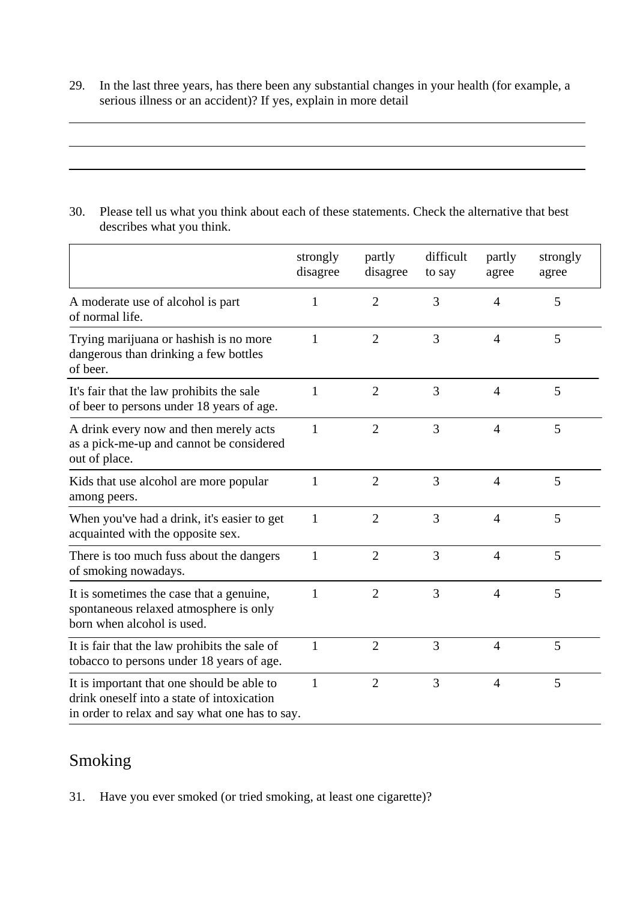29. In the last three years, has there been any substantial changes in your health (for example, a serious illness or an accident)? If yes, explain in more detail

30. Please tell us what you think about each of these statements. Check the alternative that best describes what you think.

|                                                                                                                                            | strongly<br>disagree | partly<br>disagree | difficult<br>to say | partly<br>agree | strongly<br>agree |
|--------------------------------------------------------------------------------------------------------------------------------------------|----------------------|--------------------|---------------------|-----------------|-------------------|
| A moderate use of alcohol is part<br>of normal life.                                                                                       | 1                    | $\overline{2}$     | 3                   | 4               | 5                 |
| Trying marijuana or hashish is no more<br>dangerous than drinking a few bottles<br>of beer.                                                | 1                    | $\overline{2}$     | 3                   | $\overline{4}$  | 5                 |
| It's fair that the law prohibits the sale<br>of beer to persons under 18 years of age.                                                     | 1                    | $\overline{2}$     | 3                   | 4               | 5                 |
| A drink every now and then merely acts<br>as a pick-me-up and cannot be considered<br>out of place.                                        | 1                    | $\overline{2}$     | 3                   | $\overline{4}$  | 5                 |
| Kids that use alcohol are more popular<br>among peers.                                                                                     | 1                    | $\overline{2}$     | 3                   | $\overline{4}$  | 5                 |
| When you've had a drink, it's easier to get<br>acquainted with the opposite sex.                                                           | $\mathbf{1}$         | $\overline{2}$     | 3                   | $\overline{4}$  | 5                 |
| There is too much fuss about the dangers<br>of smoking nowadays.                                                                           | $\mathbf{1}$         | $\overline{2}$     | 3                   | $\overline{4}$  | 5                 |
| It is sometimes the case that a genuine,<br>spontaneous relaxed atmosphere is only<br>born when alcohol is used.                           | 1                    | $\overline{2}$     | 3                   | 4               | 5                 |
| It is fair that the law prohibits the sale of<br>tobacco to persons under 18 years of age.                                                 | $\mathbf{1}$         | $\overline{2}$     | 3                   | $\overline{4}$  | 5                 |
| It is important that one should be able to<br>drink oneself into a state of intoxication<br>in order to relax and say what one has to say. | 1                    | $\overline{2}$     | 3                   | $\overline{4}$  | 5                 |

# Smoking

31. Have you ever smoked (or tried smoking, at least one cigarette)?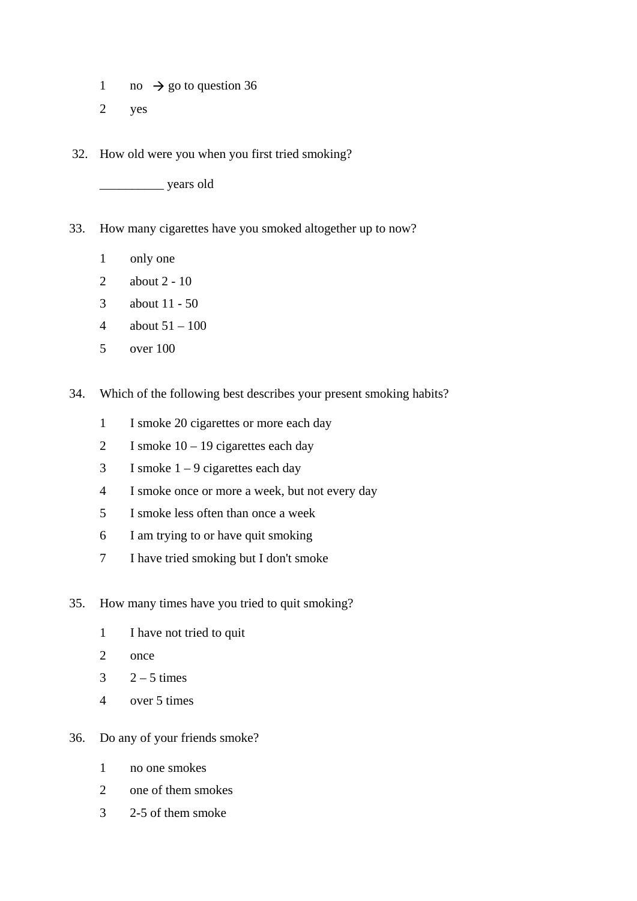- 1 no  $\rightarrow$  go to question 36
- 2 yes
- 32. How old were you when you first tried smoking?

\_\_\_\_\_\_\_\_\_\_ years old

- 33. How many cigarettes have you smoked altogether up to now?
	- 1 only one
	- 2 about 2 10
	- 3 about 11 50
	- 4 about  $51 100$
	- 5 over 100
- 34. Which of the following best describes your present smoking habits?
	- 1 I smoke 20 cigarettes or more each day
	- 2 I smoke  $10 19$  cigarettes each day
	- 3 I smoke  $1 9$  cigarettes each day
	- 4 I smoke once or more a week, but not every day
	- 5 I smoke less often than once a week
	- 6 I am trying to or have quit smoking
	- 7 I have tried smoking but I don't smoke
- 35. How many times have you tried to quit smoking?
	- 1 I have not tried to quit
	- 2 once
	- $3 \qquad 2-5 \text{ times}$
	- 4 over 5 times
- 36. Do any of your friends smoke?
	- 1 no one smokes
	- 2 one of them smokes
	- 3 2-5 of them smoke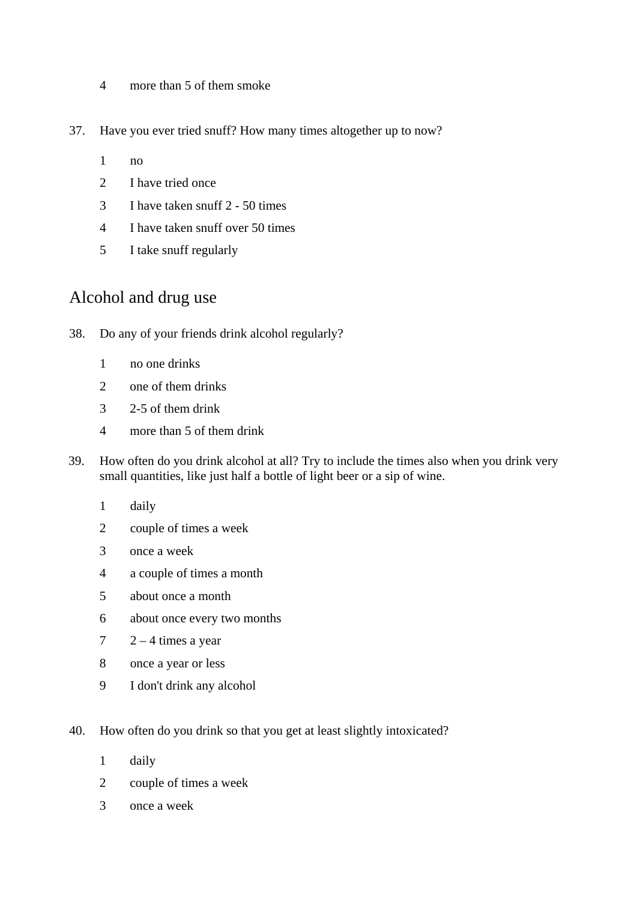- more than 5 of them smoke
- 37. Have you ever tried snuff? How many times altogether up to now?
	- no
	- 2 I have tried once
	- I have taken snuff 2 50 times
	- I have taken snuff over 50 times
	- I take snuff regularly

### Alcohol and drug use

- 38. Do any of your friends drink alcohol regularly?
	- no one drinks
	- one of them drinks
	- 2-5 of them drink
	- more than 5 of them drink
- 39. How often do you drink alcohol at all? Try to include the times also when you drink very small quantities, like just half a bottle of light beer or a sip of wine.
	- daily
	- couple of times a week
	- once a week
	- a couple of times a month
	- about once a month
	- about once every two months
	- $7 \times 2 4$  times a year
	- once a year or less
	- I don't drink any alcohol
- 40. How often do you drink so that you get at least slightly intoxicated?
	- 1 daily
	- 2 couple of times a week
	- 3 once a week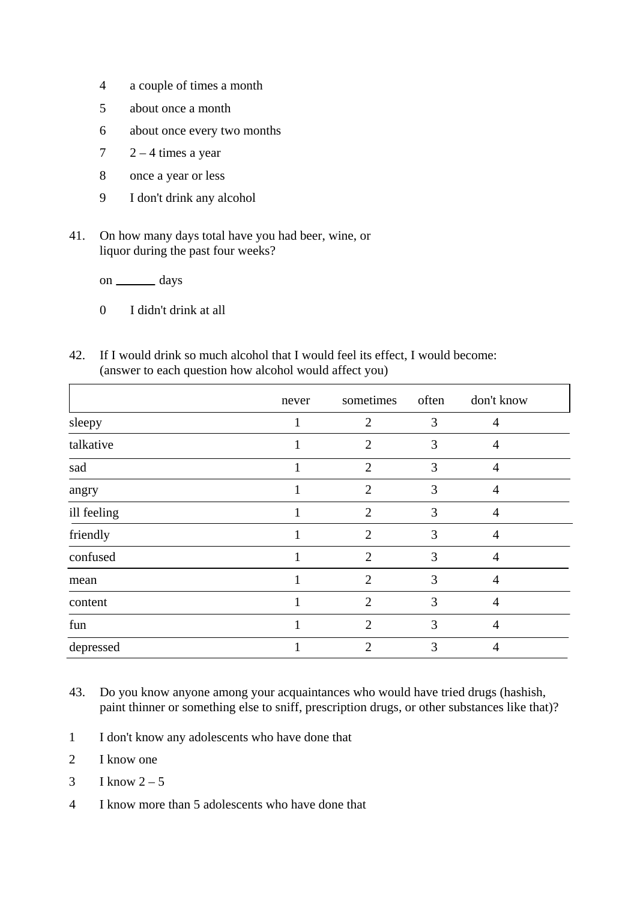- 4 a couple of times a month
- 5 about once a month
- 6 about once every two months
- $7 \times 2 4$  times a year
- 8 once a year or less
- 9 I don't drink any alcohol
- 41. On how many days total have you had beer, wine, or liquor during the past four weeks?

on \_\_\_\_\_\_\_\_\_ days

- 0 I didn't drink at all
- 42. If I would drink so much alcohol that I would feel its effect, I would become: (answer to each question how alcohol would affect you)

|             | never | sometimes often             |   | don't know     |
|-------------|-------|-----------------------------|---|----------------|
| sleepy      |       | $\overline{2}$              | 3 | $\overline{4}$ |
| talkative   |       | $\overline{2}$              | 3 | 4              |
| sad         |       | $\overline{2}$              | 3 | $\overline{4}$ |
| angry       |       | $\overline{2}$              | 3 | 4              |
| ill feeling |       | $\overline{2}$              | 3 | 4              |
| friendly    |       | $\overline{2}$              | 3 | 4              |
| confused    |       | $\overline{2}$              | 3 | $\overline{4}$ |
| mean        |       | $\overline{2}$              | 3 | $\overline{4}$ |
| content     |       | $\mathcal{D}_{\mathcal{L}}$ | 3 | $\overline{4}$ |
| fun         |       | $\mathcal{D}$               | 3 | $\overline{4}$ |
| depressed   |       | 2                           | 3 | 4              |

- 43. Do you know anyone among your acquaintances who would have tried drugs (hashish, paint thinner or something else to sniff, prescription drugs, or other substances like that)?
- 1 I don't know any adolescents who have done that
- 2 I know one
- $3 \tI know 2-5$
- 4 I know more than 5 adolescents who have done that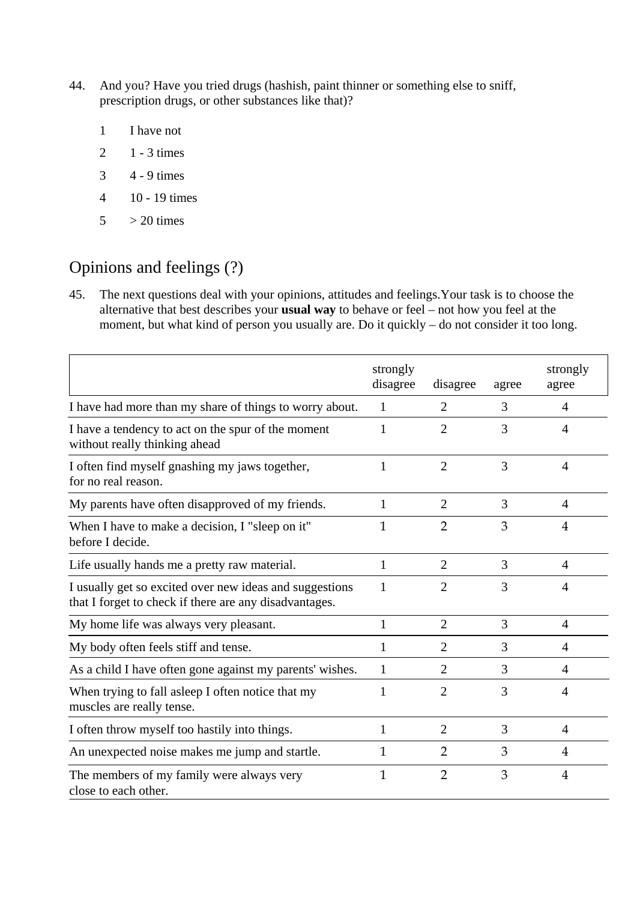- 44. And you? Have you tried drugs (hashish, paint thinner or something else to sniff, prescription drugs, or other substances like that)?
	- 1 I have not
	- 2 1 3 times
	- 3 4 9 times
	- 4 10 19 times
	- $5 > 20$  times

# Opinions and feelings (?)

45. The next questions deal with your opinions, attitudes and feelings.Your task is to choose the alternative that best describes your **usual way** to behave or feel – not how you feel at the moment, but what kind of person you usually are. Do it quickly – do not consider it too long.

|                                                                                                                   | strongly<br>disagree | disagree       | agree | strongly<br>agree |
|-------------------------------------------------------------------------------------------------------------------|----------------------|----------------|-------|-------------------|
| I have had more than my share of things to worry about.                                                           | 1                    | $\overline{2}$ | 3     | $\overline{4}$    |
| I have a tendency to act on the spur of the moment<br>without really thinking ahead                               | 1                    | $\overline{2}$ | 3     | $\overline{4}$    |
| I often find myself gnashing my jaws together,<br>for no real reason.                                             | 1                    | $\overline{2}$ | 3     | $\overline{4}$    |
| My parents have often disapproved of my friends.                                                                  | 1                    | $\overline{2}$ | 3     | $\overline{A}$    |
| When I have to make a decision, I "sleep on it"<br>before I decide.                                               | $\mathbf 1$          | $\overline{2}$ | 3     | 4                 |
| Life usually hands me a pretty raw material.                                                                      | 1                    | $\overline{2}$ | 3     | 4                 |
| I usually get so excited over new ideas and suggestions<br>that I forget to check if there are any disadvantages. | 1                    | $\overline{2}$ | 3     | $\overline{A}$    |
| My home life was always very pleasant.                                                                            | $\mathbf{1}$         | $\overline{2}$ | 3     | $\overline{4}$    |
| My body often feels stiff and tense.                                                                              | 1                    | $\overline{2}$ | 3     | $\overline{4}$    |
| As a child I have often gone against my parents' wishes.                                                          | 1                    | $\overline{2}$ | 3     | $\overline{A}$    |
| When trying to fall asleep I often notice that my<br>muscles are really tense.                                    | 1                    | $\overline{2}$ | 3     | $\overline{A}$    |
| I often throw myself too hastily into things.                                                                     | 1                    | $\overline{2}$ | 3     | $\overline{4}$    |
| An unexpected noise makes me jump and startle.                                                                    | 1                    | $\overline{2}$ | 3     | 4                 |
| The members of my family were always very<br>close to each other.                                                 | $\mathbf{1}$         | $\overline{2}$ | 3     | $\overline{4}$    |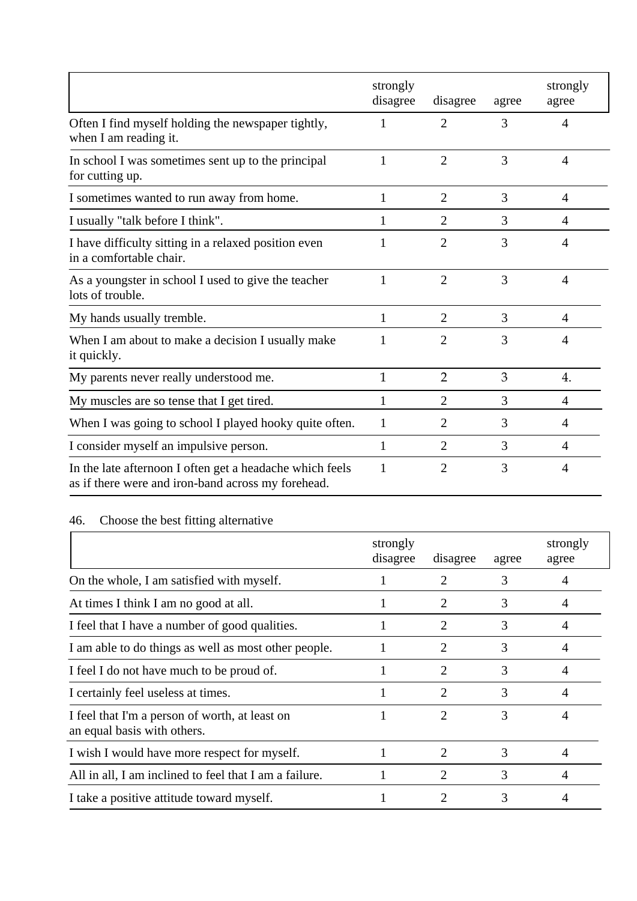|                                                                                                                | strongly<br>disagree | disagree       | agree | strongly<br>agree |
|----------------------------------------------------------------------------------------------------------------|----------------------|----------------|-------|-------------------|
| Often I find myself holding the newspaper tightly,<br>when I am reading it.                                    |                      | $\overline{2}$ | 3     | $\overline{4}$    |
| In school I was sometimes sent up to the principal<br>for cutting up.                                          | 1                    | $\overline{2}$ | 3     | $\overline{4}$    |
| I sometimes wanted to run away from home.                                                                      | 1                    | $\overline{2}$ | 3     | 4                 |
| I usually "talk before I think".                                                                               | 1                    | $\overline{2}$ | 3     | $\overline{4}$    |
| I have difficulty sitting in a relaxed position even<br>in a comfortable chair.                                | 1                    | $\overline{2}$ | 3     | $\overline{4}$    |
| As a youngster in school I used to give the teacher<br>lots of trouble.                                        | 1                    | $\overline{2}$ | 3     | $\overline{4}$    |
| My hands usually tremble.                                                                                      | 1                    | $\overline{2}$ | 3     | 4                 |
| When I am about to make a decision I usually make<br>it quickly.                                               | 1                    | $\overline{2}$ | 3     | $\overline{4}$    |
| My parents never really understood me.                                                                         | $\mathbf{1}$         | $\overline{2}$ | 3     | 4.                |
| My muscles are so tense that I get tired.                                                                      |                      | $\overline{2}$ | 3     | $\overline{A}$    |
| When I was going to school I played hooky quite often.                                                         | 1                    | $\overline{2}$ | 3     | 4                 |
| I consider myself an impulsive person.                                                                         | 1                    | $\overline{2}$ | 3     | $\overline{A}$    |
| In the late afternoon I often get a headache which feels<br>as if there were and iron-band across my forehead. | 1                    | $\overline{2}$ | 3     | $\overline{4}$    |

## 46. Choose the best fitting alternative

|                                                                               | strongly<br>disagree | disagree | agree | strongly<br>agree |
|-------------------------------------------------------------------------------|----------------------|----------|-------|-------------------|
| On the whole, I am satisfied with myself.                                     |                      | 2        | 3     | 4                 |
| At times I think I am no good at all.                                         |                      | 2        | 3     | 4                 |
| I feel that I have a number of good qualities.                                |                      | 2        | 3     | 4                 |
| I am able to do things as well as most other people.                          |                      | 2        | 3     | $\overline{A}$    |
| I feel I do not have much to be proud of.                                     |                      | 2        | 3     | 4                 |
| I certainly feel useless at times.                                            |                      | 2        | 3     | $\overline{A}$    |
| I feel that I'm a person of worth, at least on<br>an equal basis with others. |                      | 2        | 3     | 4                 |
| I wish I would have more respect for myself.                                  |                      | 2        | 3     | 4                 |
| All in all, I am inclined to feel that I am a failure.                        |                      | 2        | 3     | 4                 |
| I take a positive attitude toward myself.                                     |                      |          | 3     | 4                 |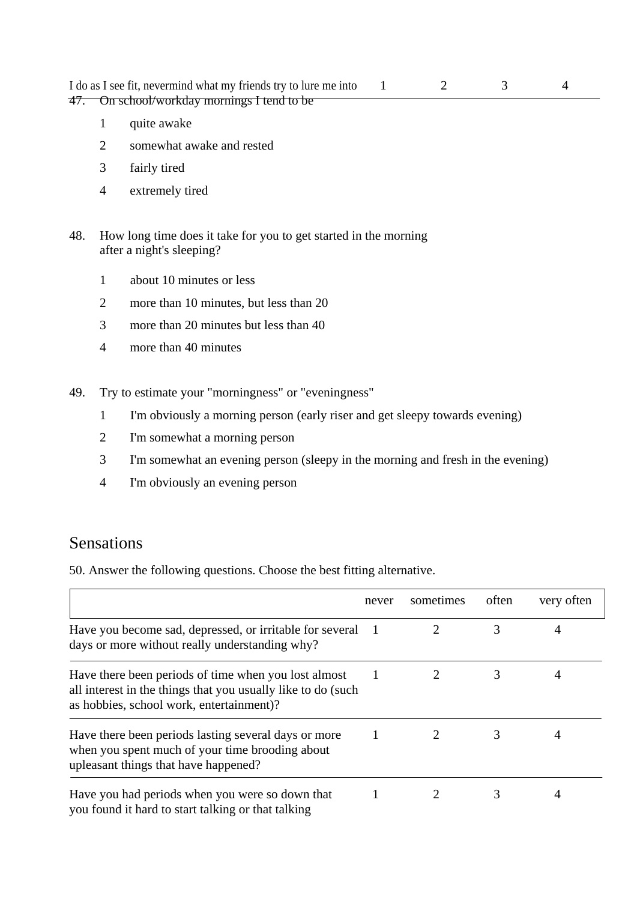I do as I see fit, nevermind what my friends try to lure me into 1 2 3 4 47. On school/workday mornings I tend to be

- 1 quite awake
- 2 somewhat awake and rested
- 3 fairly tired
- 4 extremely tired
- 48. How long time does it take for you to get started in the morning after a night's sleeping?
	- 1 about 10 minutes or less
	- 2 more than 10 minutes, but less than 20
	- 3 more than 20 minutes but less than 40
	- 4 more than 40 minutes
- 49. Try to estimate your "morningness" or "eveningness"
	- 1 I'm obviously a morning person (early riser and get sleepy towards evening)
	- 2 I'm somewhat a morning person
	- 3 I'm somewhat an evening person (sleepy in the morning and fresh in the evening)
	- 4 I'm obviously an evening person

#### Sensations

50. Answer the following questions. Choose the best fitting alternative.

|                                                                                                                                                                  | never | sometimes | often | very often |
|------------------------------------------------------------------------------------------------------------------------------------------------------------------|-------|-----------|-------|------------|
| Have you become sad, depressed, or irritable for several<br>days or more without really understanding why?                                                       |       |           | 3     | 4          |
| Have there been periods of time when you lost almost<br>all interest in the things that you usually like to do (such<br>as hobbies, school work, entertainment)? |       |           |       | 4          |
| Have there been periods lasting several days or more<br>when you spent much of your time brooding about<br>upleasant things that have happened?                  |       |           | 3     |            |
| Have you had periods when you were so down that<br>you found it hard to start talking or that talking                                                            |       |           | 3     | 4          |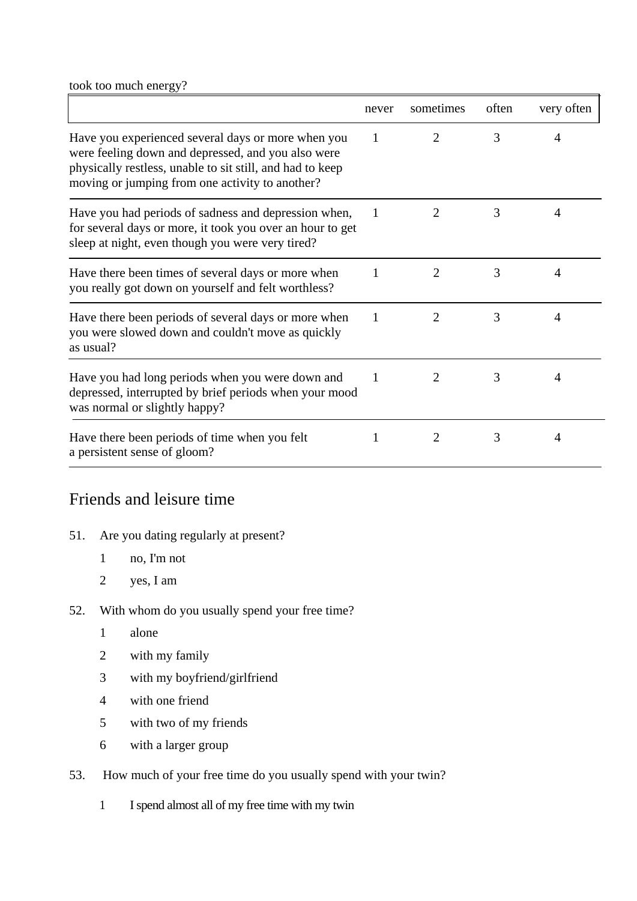took too much energy?

|                                                                                                                                                                                                                          | never | sometimes                   | often | very often |
|--------------------------------------------------------------------------------------------------------------------------------------------------------------------------------------------------------------------------|-------|-----------------------------|-------|------------|
| Have you experienced several days or more when you<br>were feeling down and depressed, and you also were<br>physically restless, unable to sit still, and had to keep<br>moving or jumping from one activity to another? | 1     | $\overline{2}$              | 3     | 4          |
| Have you had periods of sadness and depression when,<br>for several days or more, it took you over an hour to get<br>sleep at night, even though you were very tired?                                                    | -1    | 2                           | 3     | 4          |
| Have there been times of several days or more when<br>you really got down on yourself and felt worthless?                                                                                                                | 1     | $\overline{2}$              | 3     | 4          |
| Have there been periods of several days or more when<br>you were slowed down and couldn't move as quickly<br>as usual?                                                                                                   | 1     | 2                           | 3     | 4          |
| Have you had long periods when you were down and<br>depressed, interrupted by brief periods when your mood<br>was normal or slightly happy?                                                                              | 1     | $\mathcal{D}_{\mathcal{L}}$ | 3     | 4          |
| Have there been periods of time when you felt<br>a persistent sense of gloom?                                                                                                                                            | 1     | 2                           | 3     | 4          |

### Friends and leisure time

- 51. Are you dating regularly at present?
	- 1 no, I'm not
	- 2 yes, I am
- 52. With whom do you usually spend your free time?
	- 1 alone
	- 2 with my family
	- 3 with my boyfriend/girlfriend
	- 4 with one friend
	- 5 with two of my friends
	- 6 with a larger group
- 53. How much of your free time do you usually spend with your twin?
	- 1 I spend almost all of my free time with my twin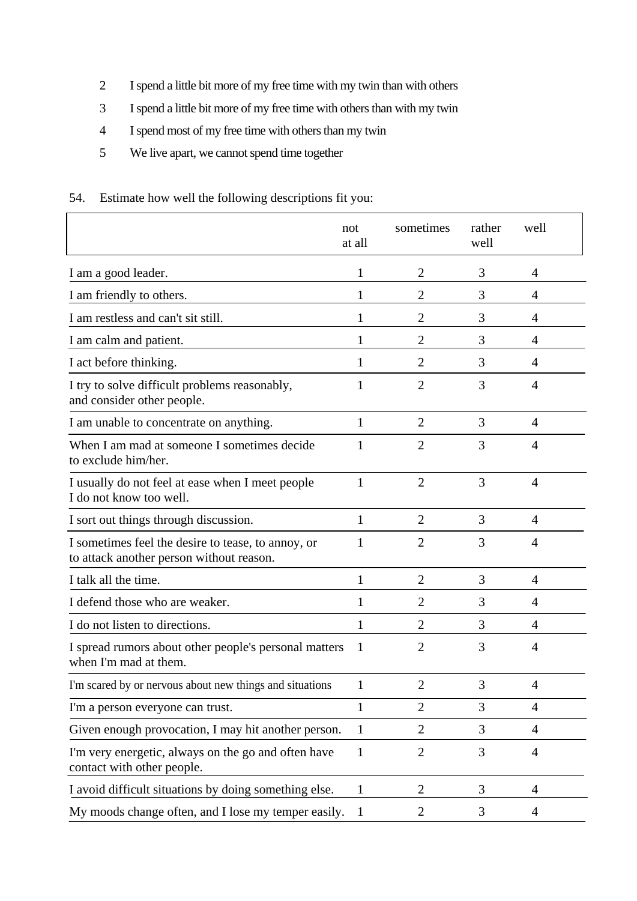- 2 I spend a little bit more of my free time with my twin than with others
- 3 I spend a little bit more of my free time with others than with my twin
- 4 I spend most of my free time with others than my twin
- 5 We live apart, we cannot spend time together

#### 54. Estimate how well the following descriptions fit you:

|                                                                                                | not<br>at all | sometimes      | rather<br>well | well           |
|------------------------------------------------------------------------------------------------|---------------|----------------|----------------|----------------|
| I am a good leader.                                                                            | 1             | $\overline{2}$ | 3              | 4              |
| I am friendly to others.                                                                       | 1             | $\overline{2}$ | 3              | 4              |
| I am restless and can't sit still.                                                             | 1             | $\overline{2}$ | 3              | 4              |
| I am calm and patient.                                                                         | 1             | $\overline{2}$ | 3              | 4              |
| I act before thinking.                                                                         | 1             | $\overline{2}$ | 3              | 4              |
| I try to solve difficult problems reasonably,<br>and consider other people.                    | 1             | $\overline{2}$ | 3              | 4              |
| I am unable to concentrate on anything.                                                        | 1             | $\overline{2}$ | 3              | 4              |
| When I am mad at someone I sometimes decide<br>to exclude him/her.                             | 1             | 2              | 3              | 4              |
| I usually do not feel at ease when I meet people<br>I do not know too well.                    | $\mathbf{1}$  | $\overline{2}$ | 3              | $\overline{4}$ |
| I sort out things through discussion.                                                          | $\mathbf{1}$  | $\overline{2}$ | 3              | $\overline{4}$ |
| I sometimes feel the desire to tease, to annoy, or<br>to attack another person without reason. | 1             | $\overline{2}$ | 3              | 4              |
| I talk all the time.                                                                           | 1             | $\overline{2}$ | 3              | $\overline{4}$ |
| I defend those who are weaker.                                                                 | 1             | $\overline{2}$ | 3              | 4              |
| I do not listen to directions.                                                                 | 1             | 2              | 3              | $\overline{4}$ |
| I spread rumors about other people's personal matters<br>when I'm mad at them.                 | 1             | 2              | 3              | 4              |
| I'm scared by or nervous about new things and situations                                       | 1             | $\overline{2}$ | 3              | 4              |
| I'm a person everyone can trust.                                                               | 1             | $\overline{2}$ | 3              | $\overline{4}$ |
| Given enough provocation, I may hit another person.                                            | 1             | $\overline{2}$ | 3              | 4              |
| I'm very energetic, always on the go and often have<br>contact with other people.              | $\mathbf{1}$  | $\overline{2}$ | 3              | $\overline{4}$ |
| I avoid difficult situations by doing something else.                                          | 1             | $\overline{2}$ | 3              | 4              |
| My moods change often, and I lose my temper easily.                                            | $\mathbf 1$   | $\overline{2}$ | 3              | $\overline{4}$ |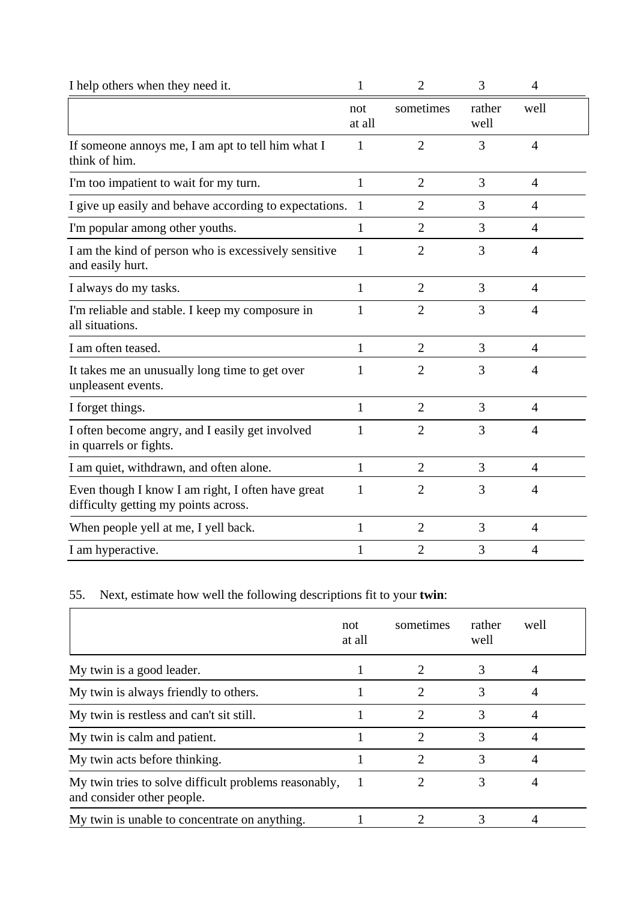| I help others when they need it.                                                          | 1              | $\overline{2}$ | 3              | 4              |
|-------------------------------------------------------------------------------------------|----------------|----------------|----------------|----------------|
|                                                                                           | not<br>at all  | sometimes      | rather<br>well | well           |
| If someone annoys me, I am apt to tell him what I<br>think of him.                        | 1              | $\overline{2}$ | 3              | 4              |
| I'm too impatient to wait for my turn.                                                    | 1              | $\overline{2}$ | 3              | $\overline{4}$ |
| I give up easily and behave according to expectations.                                    | $\overline{1}$ | $\overline{2}$ | 3              | $\overline{4}$ |
| I'm popular among other youths.                                                           | 1              | $\overline{2}$ | 3              | 4              |
| I am the kind of person who is excessively sensitive<br>and easily hurt.                  | 1              | $\overline{2}$ | 3              | $\overline{4}$ |
| I always do my tasks.                                                                     | 1              | $\overline{2}$ | 3              | 4              |
| I'm reliable and stable. I keep my composure in<br>all situations.                        | 1              | $\overline{2}$ | 3              | 4              |
| I am often teased.                                                                        | $\mathbf{1}$   | $\overline{2}$ | 3              | 4              |
| It takes me an unusually long time to get over<br>unpleasent events.                      | 1              | 2              | 3              | 4              |
| I forget things.                                                                          | 1              | $\overline{2}$ | 3              | 4              |
| I often become angry, and I easily get involved<br>in quarrels or fights.                 | 1              | $\overline{2}$ | 3              | 4              |
| I am quiet, withdrawn, and often alone.                                                   | $\mathbf{1}$   | $\overline{2}$ | 3              | $\overline{4}$ |
| Even though I know I am right, I often have great<br>difficulty getting my points across. | 1              | $\overline{2}$ | 3              | 4              |
| When people yell at me, I yell back.                                                      | 1              | $\overline{2}$ | 3              | 4              |
| I am hyperactive.                                                                         | $\mathbf{1}$   | $\overline{2}$ | 3              | 4              |

### 55. Next, estimate how well the following descriptions fit to your **twin**:

|                                                                                     | not<br>at all | sometimes                   | rather<br>well | well |
|-------------------------------------------------------------------------------------|---------------|-----------------------------|----------------|------|
| My twin is a good leader.                                                           |               |                             | 3              |      |
| My twin is always friendly to others.                                               |               | $\mathcal{D}_{\mathcal{L}}$ | 3              |      |
| My twin is restless and can't sit still.                                            |               | $\mathfrak{D}$              | 3              | 4    |
| My twin is calm and patient.                                                        |               | $\mathcal{D}$               | 3              |      |
| My twin acts before thinking.                                                       |               | 2                           | 3              |      |
| My twin tries to solve difficult problems reasonably,<br>and consider other people. |               | 2                           | 3              | 4    |
| My twin is unable to concentrate on anything.                                       |               |                             |                |      |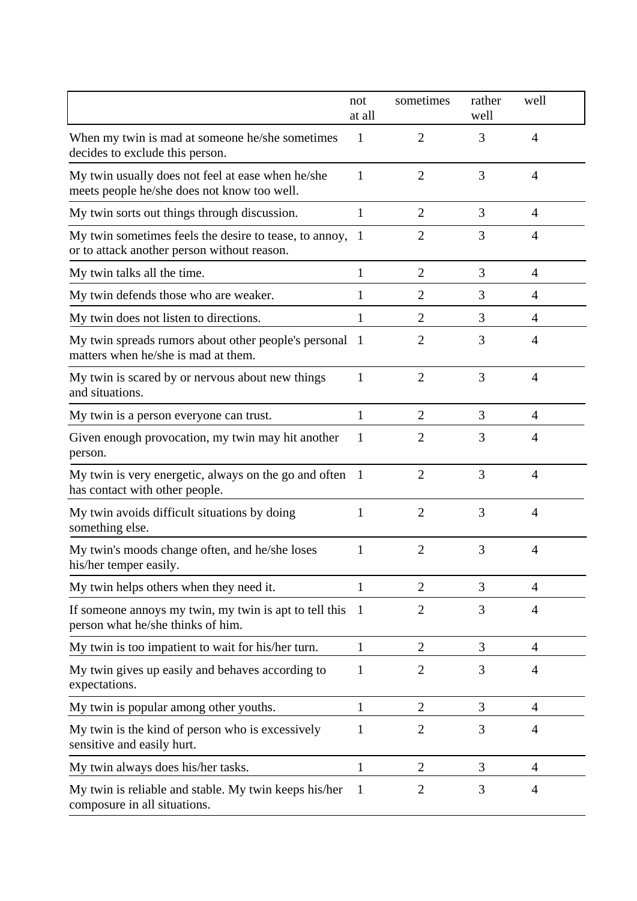|                                                                                                       | not<br>at all  | sometimes      | rather<br>well | well           |
|-------------------------------------------------------------------------------------------------------|----------------|----------------|----------------|----------------|
| When my twin is mad at someone he/she sometimes<br>decides to exclude this person.                    | $\mathbf{1}$   | 2              | 3              | $\overline{4}$ |
| My twin usually does not feel at ease when he/she<br>meets people he/she does not know too well.      | 1              | $\overline{2}$ | 3              | $\overline{4}$ |
| My twin sorts out things through discussion.                                                          | 1              | $\overline{2}$ | 3              | $\overline{4}$ |
| My twin sometimes feels the desire to tease, to annoy,<br>or to attack another person without reason. | $\overline{1}$ | $\overline{2}$ | 3              | $\overline{4}$ |
| My twin talks all the time.                                                                           | 1              | $\overline{2}$ | 3              | $\overline{4}$ |
| My twin defends those who are weaker.                                                                 | 1              | $\overline{2}$ | 3              | $\overline{4}$ |
| My twin does not listen to directions.                                                                | 1              | $\overline{2}$ | 3              | 4              |
| My twin spreads rumors about other people's personal<br>matters when he/she is mad at them.           | - 1            | $\overline{2}$ | 3              | 4              |
| My twin is scared by or nervous about new things<br>and situations.                                   | 1              | $\overline{2}$ | 3              | $\overline{4}$ |
| My twin is a person everyone can trust.                                                               | 1              | $\overline{2}$ | 3              | $\overline{4}$ |
| Given enough provocation, my twin may hit another<br>person.                                          | 1              | $\overline{2}$ | 3              | 4              |
| My twin is very energetic, always on the go and often<br>has contact with other people.               | $\overline{1}$ | $\overline{2}$ | 3              | $\overline{4}$ |
| My twin avoids difficult situations by doing<br>something else.                                       | 1              | $\overline{2}$ | 3              | $\overline{4}$ |
| My twin's moods change often, and he/she loses<br>his/her temper easily.                              | 1              | $\overline{2}$ | 3              | 4              |
| My twin helps others when they need it.                                                               | 1              | $\overline{2}$ | 3              | 4              |
| If someone annoys my twin, my twin is apt to tell this<br>person what he/she thinks of him.           | -1             | $\overline{2}$ | 3              | 4              |
| My twin is too impatient to wait for his/her turn.                                                    | $\mathbf{1}$   | $\overline{2}$ | 3              | 4              |
| My twin gives up easily and behaves according to<br>expectations.                                     | 1              | $\overline{2}$ | 3              | 4              |
| My twin is popular among other youths.                                                                | 1              | $\overline{2}$ | 3              | 4              |
| My twin is the kind of person who is excessively<br>sensitive and easily hurt.                        | 1              | $\overline{2}$ | 3              | 4              |
| My twin always does his/her tasks.                                                                    | 1              | $\overline{2}$ | 3              | 4              |
| My twin is reliable and stable. My twin keeps his/her<br>composure in all situations.                 | 1              | $\overline{2}$ | 3              | 4              |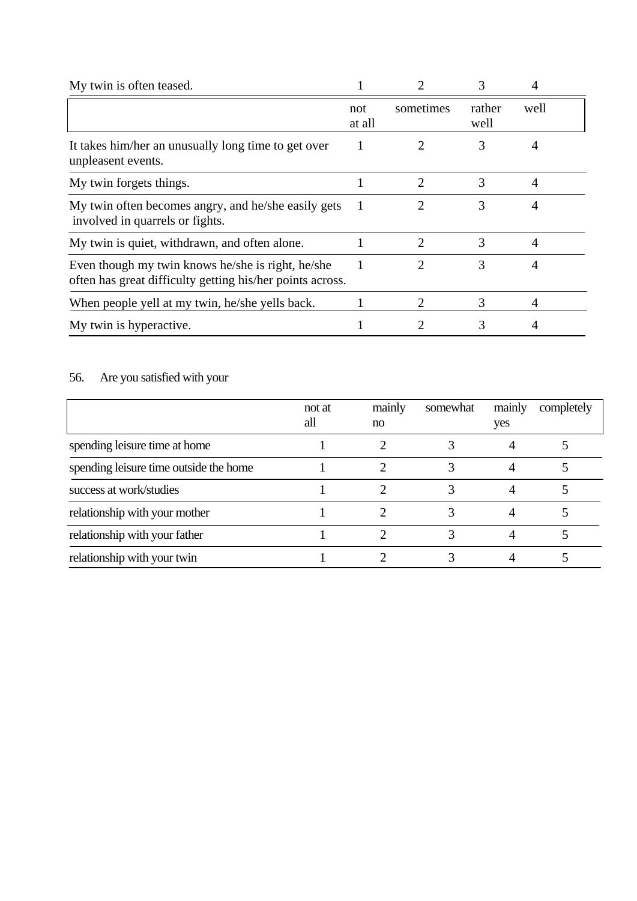| My twin is often teased.                                                                                       |               |                             | 3              |      |  |
|----------------------------------------------------------------------------------------------------------------|---------------|-----------------------------|----------------|------|--|
|                                                                                                                | not<br>at all | sometimes                   | rather<br>well | well |  |
| It takes him/her an unusually long time to get over<br>unpleasent events.                                      |               |                             | 3              | 4    |  |
| My twin forgets things.                                                                                        |               | 2                           | 3              |      |  |
| My twin often becomes angry, and he/she easily gets<br>involved in quarrels or fights.                         |               | 2                           | 3              | 4    |  |
| My twin is quiet, withdrawn, and often alone.                                                                  |               | $\overline{2}$              | 3              | 4    |  |
| Even though my twin knows he/she is right, he/she<br>often has great difficulty getting his/her points across. |               | $\mathcal{D}_{\mathcal{L}}$ | 3              |      |  |
| When people yell at my twin, he/she yells back.                                                                |               |                             | 3              | 4    |  |
| My twin is hyperactive.                                                                                        |               |                             | 3              |      |  |

# 56. Are you satisfied with your

|                                        | not at<br>all | mainly<br>no | somewhat | mainly<br>yes | completely |
|----------------------------------------|---------------|--------------|----------|---------------|------------|
| spending leisure time at home          |               |              |          |               |            |
| spending leisure time outside the home |               |              |          |               |            |
| success at work/studies                |               |              |          |               |            |
| relationship with your mother          |               |              |          |               |            |
| relationship with your father          |               |              |          |               |            |
| relationship with your twin            |               |              |          |               |            |